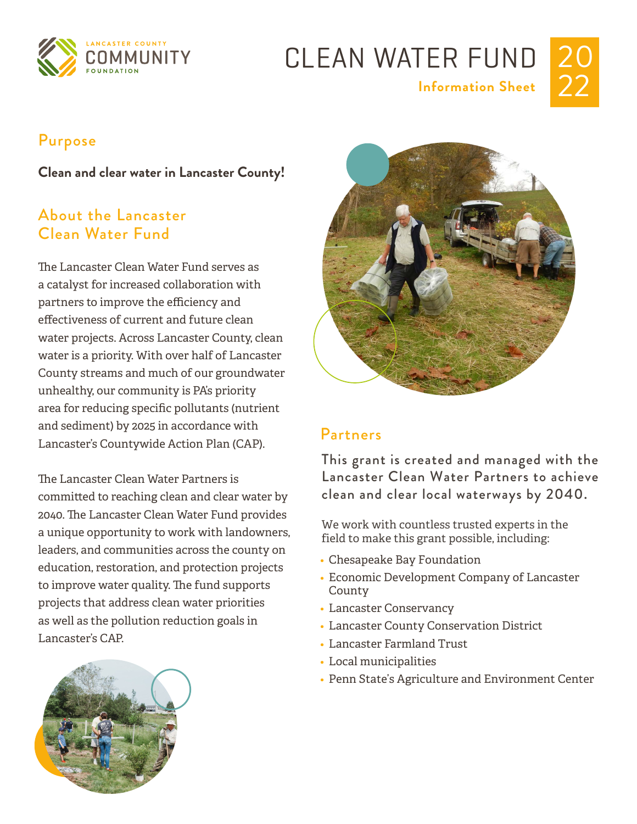

## CLEAN WATER FUND **Information Sheet**



#### Purpose

**Clean and clear water in Lancaster County!**

#### About the Lancaster Clean Water Fund

The Lancaster Clean Water Fund serves as a catalyst for increased collaboration with partners to improve the efficiency and effectiveness of current and future clean water projects. Across Lancaster County, clean water is a priority. With over half of Lancaster County streams and much of our groundwater unhealthy, our community is PA's priority area for reducing specific pollutants (nutrient and sediment) by 2025 in accordance with Lancaster's Countywide Action Plan (CAP).

The Lancaster Clean Water Partners is committed to reaching clean and clear water by 2040. The Lancaster Clean Water Fund provides a unique opportunity to work with landowners, leaders, and communities across the county on education, restoration, and protection projects to improve water quality. The fund supports projects that address clean water priorities as well as the pollution reduction goals in Lancaster's CAP.





#### Partners

This grant is created and managed with the Lancaster Clean Water Partners to achieve clean and clear local waterways by 2040.

We work with countless trusted experts in the field to make this grant possible, including:

- Chesapeake Bay Foundation
- Economic Development Company of Lancaster County
- Lancaster Conservancy
- Lancaster County Conservation District
- Lancaster Farmland Trust
- Local municipalities
- Penn State's Agriculture and Environment Center